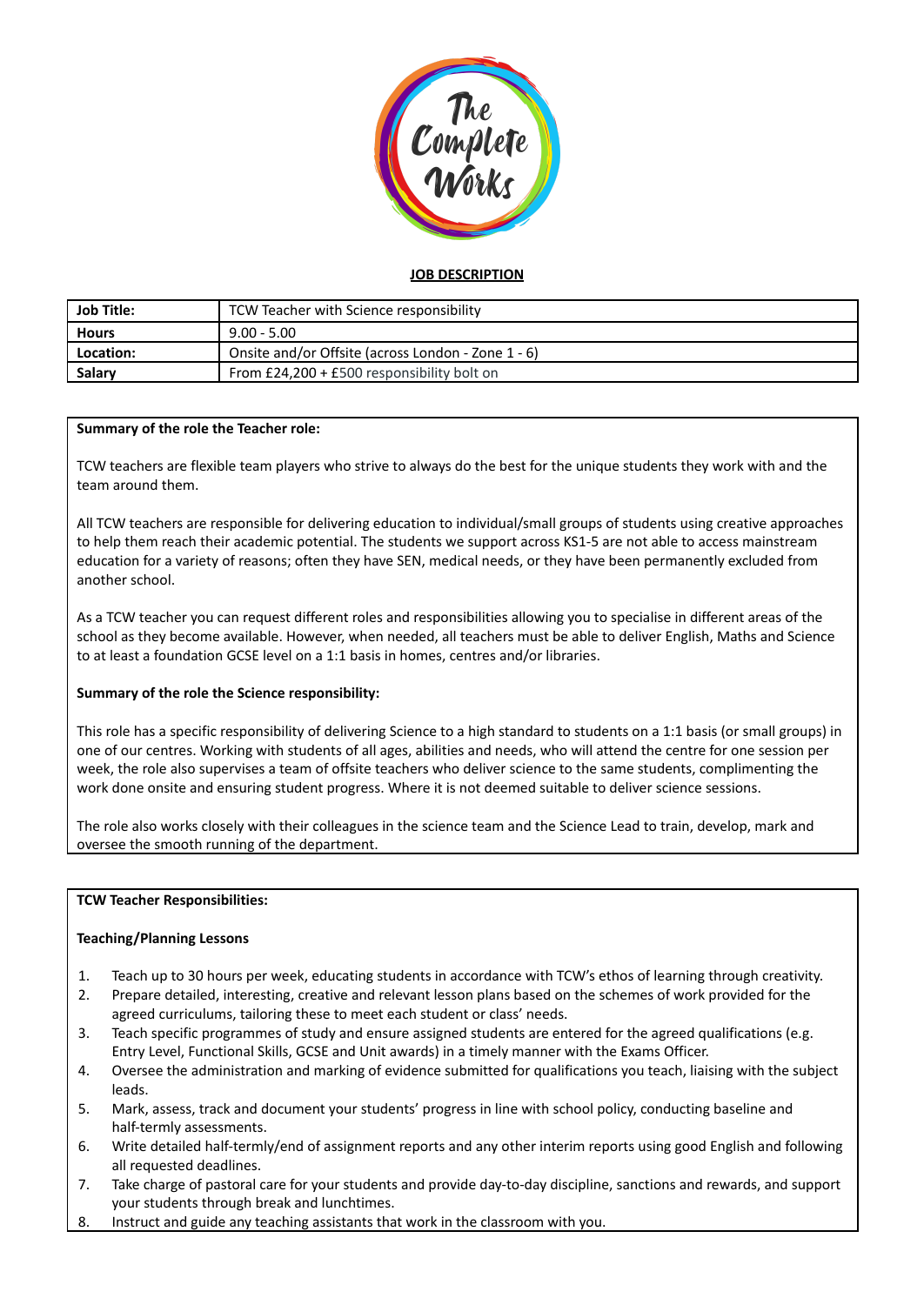

# **JOB DESCRIPTION**

| Job Title:   | TCW Teacher with Science responsibility            |
|--------------|----------------------------------------------------|
| <b>Hours</b> | $9.00 - 5.00$                                      |
| Location:    | Onsite and/or Offsite (across London - Zone 1 - 6) |
| Salary       | From $E24,200 + E500$ responsibility bolt on       |

## **Summary of the role the Teacher role:**

TCW teachers are flexible team players who strive to always do the best for the unique students they work with and the team around them.

All TCW teachers are responsible for delivering education to individual/small groups of students using creative approaches to help them reach their academic potential. The students we support across KS1-5 are not able to access mainstream education for a variety of reasons; often they have SEN, medical needs, or they have been permanently excluded from another school.

As a TCW teacher you can request different roles and responsibilities allowing you to specialise in different areas of the school as they become available. However, when needed, all teachers must be able to deliver English, Maths and Science to at least a foundation GCSE level on a 1:1 basis in homes, centres and/or libraries.

## **Summary of the role the Science responsibility:**

This role has a specific responsibility of delivering Science to a high standard to students on a 1:1 basis (or small groups) in one of our centres. Working with students of all ages, abilities and needs, who will attend the centre for one session per week, the role also supervises a team of offsite teachers who deliver science to the same students, complimenting the work done onsite and ensuring student progress. Where it is not deemed suitable to deliver science sessions.

The role also works closely with their colleagues in the science team and the Science Lead to train, develop, mark and oversee the smooth running of the department.

## **TCW Teacher Responsibilities:**

#### **Teaching/Planning Lessons**

- 1. Teach up to 30 hours per week, educating students in accordance with TCW's ethos of learning through creativity.
- 2. Prepare detailed, interesting, creative and relevant lesson plans based on the schemes of work provided for the agreed curriculums, tailoring these to meet each student or class' needs.
- 3. Teach specific programmes of study and ensure assigned students are entered for the agreed qualifications (e.g. Entry Level, Functional Skills, GCSE and Unit awards) in a timely manner with the Exams Officer.
- 4. Oversee the administration and marking of evidence submitted for qualifications you teach, liaising with the subject leads.
- 5. Mark, assess, track and document your students' progress in line with school policy, conducting baseline and half-termly assessments.
- 6. Write detailed half-termly/end of assignment reports and any other interim reports using good English and following all requested deadlines.
- 7. Take charge of pastoral care for your students and provide day-to-day discipline, sanctions and rewards, and support your students through break and lunchtimes.
- 8. Instruct and guide any teaching assistants that work in the classroom with you.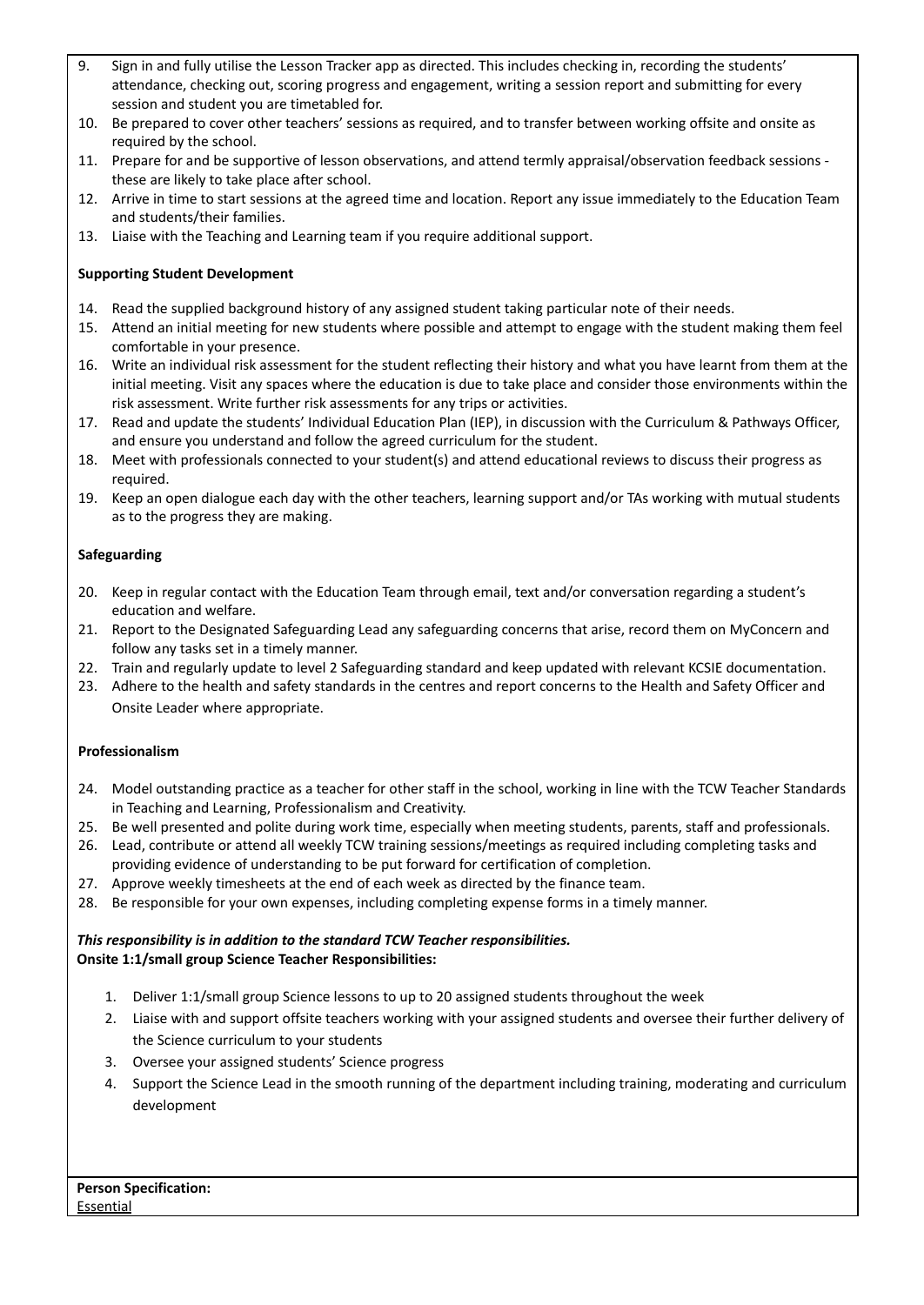- 9. Sign in and fully utilise the Lesson Tracker app as directed. This includes checking in, recording the students' attendance, checking out, scoring progress and engagement, writing a session report and submitting for every session and student you are timetabled for.
- 10. Be prepared to cover other teachers' sessions as required, and to transfer between working offsite and onsite as required by the school.
- 11. Prepare for and be supportive of lesson observations, and attend termly appraisal/observation feedback sessions these are likely to take place after school.
- 12. Arrive in time to start sessions at the agreed time and location. Report any issue immediately to the Education Team and students/their families.
- 13. Liaise with the Teaching and Learning team if you require additional support.

# **Supporting Student Development**

- 14. Read the supplied background history of any assigned student taking particular note of their needs.
- 15. Attend an initial meeting for new students where possible and attempt to engage with the student making them feel comfortable in your presence.
- 16. Write an individual risk assessment for the student reflecting their history and what you have learnt from them at the initial meeting. Visit any spaces where the education is due to take place and consider those environments within the risk assessment. Write further risk assessments for any trips or activities.
- 17. Read and update the students' Individual Education Plan (IEP), in discussion with the Curriculum & Pathways Officer, and ensure you understand and follow the agreed curriculum for the student.
- 18. Meet with professionals connected to your student(s) and attend educational reviews to discuss their progress as required.
- 19. Keep an open dialogue each day with the other teachers, learning support and/or TAs working with mutual students as to the progress they are making.

## **Safeguarding**

- 20. Keep in regular contact with the Education Team through email, text and/or conversation regarding a student's education and welfare.
- 21. Report to the Designated Safeguarding Lead any safeguarding concerns that arise, record them on MyConcern and follow any tasks set in a timely manner.
- 22. Train and regularly update to level 2 Safeguarding standard and keep updated with relevant KCSIE documentation.
- 23. Adhere to the health and safety standards in the centres and report concerns to the Health and Safety Officer and Onsite Leader where appropriate.

## **Professionalism**

- 24. Model outstanding practice as a teacher for other staff in the school, working in line with the TCW Teacher Standards in Teaching and Learning, Professionalism and Creativity.
- 25. Be well presented and polite during work time, especially when meeting students, parents, staff and professionals.
- 26. Lead, contribute or attend all weekly TCW training sessions/meetings as required including completing tasks and providing evidence of understanding to be put forward for certification of completion.
- 27. Approve weekly timesheets at the end of each week as directed by the finance team.
- 28. Be responsible for your own expenses, including completing expense forms in a timely manner.

# *This responsibility is in addition to the standard TCW Teacher responsibilities.* **Onsite 1:1/small group Science Teacher Responsibilities:**

- 1. Deliver 1:1/small group Science lessons to up to 20 assigned students throughout the week
- 2. Liaise with and support offsite teachers working with your assigned students and oversee their further delivery of the Science curriculum to your students
- 3. Oversee your assigned students' Science progress
- 4. Support the Science Lead in the smooth running of the department including training, moderating and curriculum development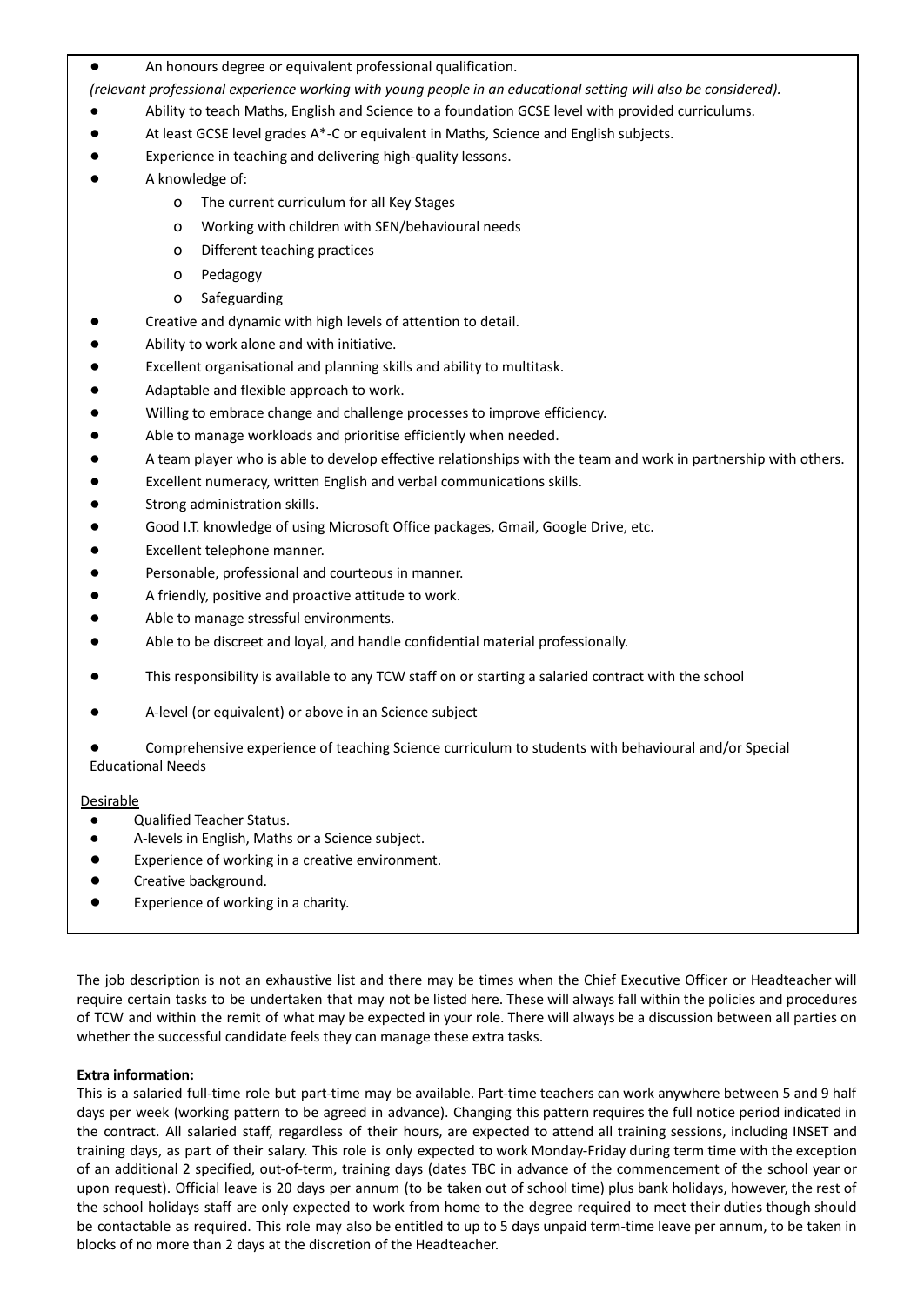An honours degree or equivalent professional qualification.

*(relevant professional experience working with young people in an educational setting will also be considered).*

- Ability to teach Maths, English and Science to a foundation GCSE level with provided curriculums.
- At least GCSE level grades A\*-C or equivalent in Maths, Science and English subjects.
- Experience in teaching and delivering high-quality lessons.
- A knowledge of:
	- o The current curriculum for all Key Stages
	- o Working with children with SEN/behavioural needs
	- o Different teaching practices
	- o Pedagogy
	- o Safeguarding
- Creative and dynamic with high levels of attention to detail.
- Ability to work alone and with initiative.
- Excellent organisational and planning skills and ability to multitask.
- Adaptable and flexible approach to work.
- Willing to embrace change and challenge processes to improve efficiency.
- Able to manage workloads and prioritise efficiently when needed.
- A team player who is able to develop effective relationships with the team and work in partnership with others.
- Excellent numeracy, written English and verbal communications skills.
- Strong administration skills.
- Good I.T. knowledge of using Microsoft Office packages, Gmail, Google Drive, etc.
- Excellent telephone manner.
- Personable, professional and courteous in manner.
- A friendly, positive and proactive attitude to work.
- Able to manage stressful environments.
- Able to be discreet and loyal, and handle confidential material professionally.
- This responsibility is available to any TCW staff on or starting a salaried contract with the school
- A-level (or equivalent) or above in an Science subject
- Comprehensive experience of teaching Science curriculum to students with behavioural and/or Special Educational Needs

# **Desirable**

- Qualified Teacher Status.
- A-levels in English, Maths or a Science subject.
- Experience of working in a creative environment.
- Creative background.
- Experience of working in a charity.

The job description is not an exhaustive list and there may be times when the Chief Executive Officer or Headteacher will require certain tasks to be undertaken that may not be listed here. These will always fall within the policies and procedures of TCW and within the remit of what may be expected in your role. There will always be a discussion between all parties on whether the successful candidate feels they can manage these extra tasks.

# **Extra information:**

This is a salaried full-time role but part-time may be available. Part-time teachers can work anywhere between 5 and 9 half days per week (working pattern to be agreed in advance). Changing this pattern requires the full notice period indicated in the contract. All salaried staff, regardless of their hours, are expected to attend all training sessions, including INSET and training days, as part of their salary. This role is only expected to work Monday-Friday during term time with the exception of an additional 2 specified, out-of-term, training days (dates TBC in advance of the commencement of the school year or upon request). Official leave is 20 days per annum (to be taken out of school time) plus bank holidays, however, the rest of the school holidays staff are only expected to work from home to the degree required to meet their duties though should be contactable as required. This role may also be entitled to up to 5 days unpaid term-time leave per annum, to be taken in blocks of no more than 2 days at the discretion of the Headteacher.